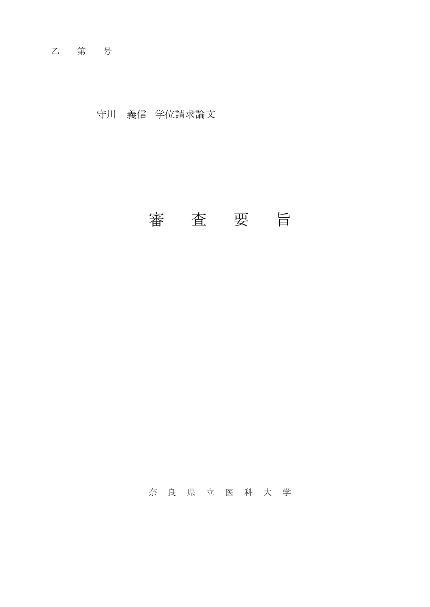乙 第 号

守川 義信 学位請求論文

## 審 査 要 旨

## 奈 良 県 立 医 科 大 学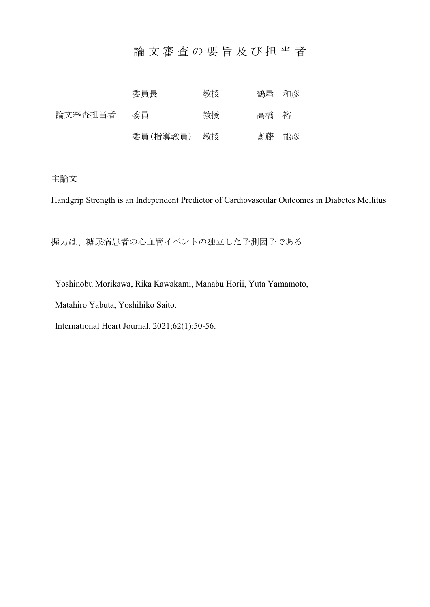## 論 文 審 査 の 要 旨 及 び 担 当 者

| 論文審査担当者 | 委員長      | 教授 | 鶴屋 和彦 |    |
|---------|----------|----|-------|----|
|         | 委員       | 教授 | 高橋    | 裕  |
|         | 委員(指導教員) | 教授 | 斎藤    | 能彦 |

主論文

Handgrip Strength is an Independent Predictor of Cardiovascular Outcomes in Diabetes Mellitus

握力は、糖尿病患者の心血管イベントの独立した予測因子である

Yoshinobu Morikawa, Rika Kawakami, Manabu Horii, Yuta Yamamoto,

Matahiro Yabuta, Yoshihiko Saito.

International Heart Journal. 2021;62(1):50-56.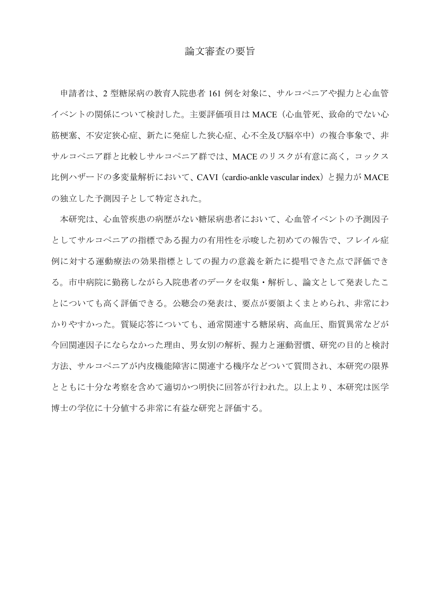## 論文審査の要旨

申請者は、2 型糖尿病の教育入院患者 161 例を対象に、サルコペニアや握力と心血管 イベントの関係について検討した。主要評価項目は MACE(心血管死、致命的でない心 筋梗塞、不安定狭心症、新たに発症した狭心症、心不全及び脳卒中)の複合事象で、非 サルコペニア群と比較しサルコペニア群では、MACE のリスクが有意に高く,コックス 比例ハザードの多変量解析において、CAVI (cardio-ankle vascular index) と握力が MACE の独立した予測因子として特定された。

本研究は、心血管疾患の病歴がない糖尿病患者において、心血管イベントの予測因子 としてサルコペニアの指標である握力の有用性を示唆した初めての報告で、フレイル症 例に対する運動療法の効果指標としての握力の意義を新たに提唱できた点で評価でき る。市中病院に勤務しながら入院患者のデータを収集・解析し、論文として発表したこ とについても高く評価できる。公聴会の発表は、要点が要領よくまとめられ、非常にわ かりやすかった。質疑応答についても、通常関連する糖尿病、高血圧、脂質異常などが 今回関連因子にならなかった理由、男女別の解析、握力と運動習慣、研究の目的と検討 方法、サルコペニアが内皮機能障害に関連する機序などついて質問され、本研究の限界 とともに十分な考察を含めて適切かつ明快に回答が行われた。以上より、本研究は医学 博士の学位に十分値する非常に有益な研究と評価する。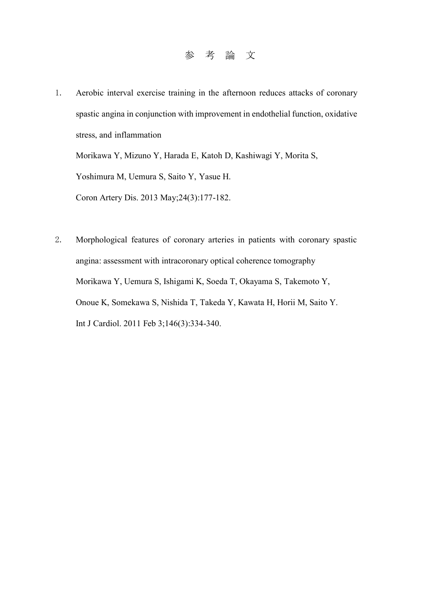- 1. Aerobic interval exercise training in the afternoon reduces attacks of coronary spastic angina in conjunction with improvement in endothelial function, oxidative stress, and inflammation Morikawa Y, Mizuno Y, Harada E, Katoh D, Kashiwagi Y, Morita S, Yoshimura M, Uemura S, Saito Y, Yasue H. Coron Artery Dis. 2013 May;24(3):177-182.
- 2. Morphological features of coronary arteries in patients with coronary spastic angina: assessment with intracoronary optical coherence tomography Morikawa Y, Uemura S, Ishigami K, Soeda T, Okayama S, Takemoto Y, Onoue K, Somekawa S, Nishida T, Takeda Y, Kawata H, Horii M, Saito Y. Int J Cardiol. 2011 Feb 3;146(3):334-340.